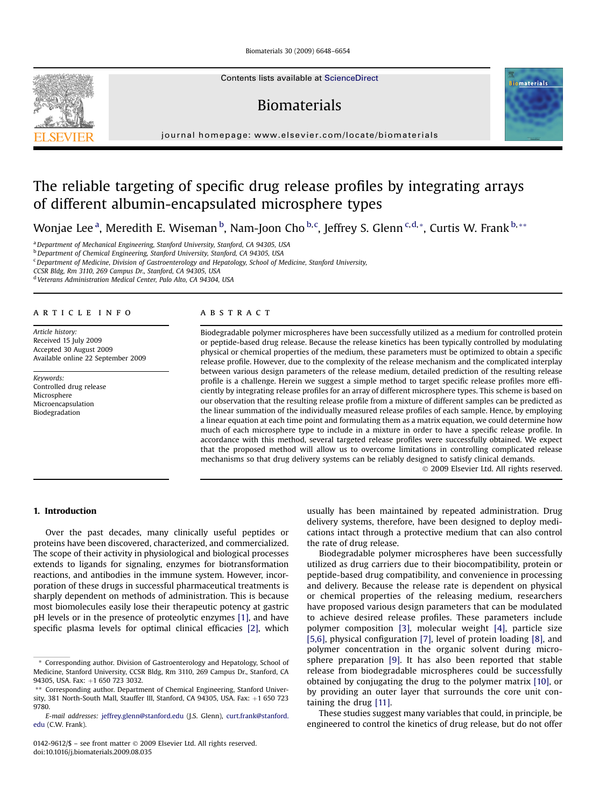Biomaterials 30 (2009) 6648–6654

Contents lists available at [ScienceDirect](www.sciencedirect.com/science/journal/01429612)

# Biomaterials



journal homepage: [www.elsevier.com/locate/biomaterials](http://www.elsevier.com/locate/biomaterials)

# The reliable targeting of specific drug release profiles by integrating arrays of different albumin-encapsulated microsphere types

Wonjae Lee <sup>a</sup>, Meredith E. Wiseman <sup>b</sup>, Nam-Joon Cho <sup>b, c</sup>, Jeffrey S. Glenn <sup>c, d,</sup> \*, Curtis W. Frank <sup>b,</sup> \*\*

<sup>a</sup> Department of Mechanical Engineering, Stanford University, Stanford, CA 94305, USA

<sup>b</sup> Department of Chemical Engineering, Stanford University, Stanford, CA 94305, USA <sup>c</sup> Department of Medicine, Division of Gastroenterology and Hepatology, School of Medicine, Stanford University,

CCSR Bldg, Rm 3110, 269 Campus Dr., Stanford, CA 94305, USA

<sup>d</sup> Veterans Administration Medical Center, Palo Alto, CA 94304, USA

## article info

Article history: Received 15 July 2009 Accepted 30 August 2009 Available online 22 September 2009

Keywords: Controlled drug release Microsphere Microencapsulation Biodegradation

## **ABSTRACT**

Biodegradable polymer microspheres have been successfully utilized as a medium for controlled protein or peptide-based drug release. Because the release kinetics has been typically controlled by modulating physical or chemical properties of the medium, these parameters must be optimized to obtain a specific release profile. However, due to the complexity of the release mechanism and the complicated interplay between various design parameters of the release medium, detailed prediction of the resulting release profile is a challenge. Herein we suggest a simple method to target specific release profiles more efficiently by integrating release profiles for an array of different microsphere types. This scheme is based on our observation that the resulting release profile from a mixture of different samples can be predicted as the linear summation of the individually measured release profiles of each sample. Hence, by employing a linear equation at each time point and formulating them as a matrix equation, we could determine how much of each microsphere type to include in a mixture in order to have a specific release profile. In accordance with this method, several targeted release profiles were successfully obtained. We expect that the proposed method will allow us to overcome limitations in controlling complicated release mechanisms so that drug delivery systems can be reliably designed to satisfy clinical demands.

- 2009 Elsevier Ltd. All rights reserved.

# 1. Introduction

Over the past decades, many clinically useful peptides or proteins have been discovered, characterized, and commercialized. The scope of their activity in physiological and biological processes extends to ligands for signaling, enzymes for biotransformation reactions, and antibodies in the immune system. However, incorporation of these drugs in successful pharmaceutical treatments is sharply dependent on methods of administration. This is because most biomolecules easily lose their therapeutic potency at gastric pH levels or in the presence of proteolytic enzymes [\[1\]](#page-5-0), and have specific plasma levels for optimal clinical efficacies [\[2\],](#page-5-0) which

0142-9612/\$ – see front matter © 2009 Elsevier Ltd. All rights reserved. doi:10.1016/j.biomaterials.2009.08.035

usually has been maintained by repeated administration. Drug delivery systems, therefore, have been designed to deploy medications intact through a protective medium that can also control the rate of drug release.

Biodegradable polymer microspheres have been successfully utilized as drug carriers due to their biocompatibility, protein or peptide-based drug compatibility, and convenience in processing and delivery. Because the release rate is dependent on physical or chemical properties of the releasing medium, researchers have proposed various design parameters that can be modulated to achieve desired release profiles. These parameters include polymer composition [\[3\],](#page-5-0) molecular weight [\[4\],](#page-5-0) particle size [\[5,6\]](#page-5-0), physical configuration [\[7\],](#page-5-0) level of protein loading [\[8\],](#page-5-0) and polymer concentration in the organic solvent during microsphere preparation [\[9\]](#page-5-0). It has also been reported that stable release from biodegradable microspheres could be successfully obtained by conjugating the drug to the polymer matrix [\[10\],](#page-6-0) or by providing an outer layer that surrounds the core unit containing the drug [\[11\].](#page-6-0)

These studies suggest many variables that could, in principle, be engineered to control the kinetics of drug release, but do not offer



<sup>\*</sup> Corresponding author. Division of Gastroenterology and Hepatology, School of Medicine, Stanford University, CCSR Bldg, Rm 3110, 269 Campus Dr., Stanford, CA 94305, USA. Fax: +1 650 723 3032.

<sup>\*\*</sup> Corresponding author. Department of Chemical Engineering, Stanford University, 381 North-South Mall, Stauffer III, Stanford, CA 94305, USA. Fax:  $+1$  650 723 9780.

E-mail addresses: [jeffrey.glenn@stanford.edu](mailto:jeffrey.glenn@stanford.edu) (J.S. Glenn), [curt.frank@stanford.](mailto:curt.frank@stanford.edu) [edu](mailto:curt.frank@stanford.edu) (C.W. Frank).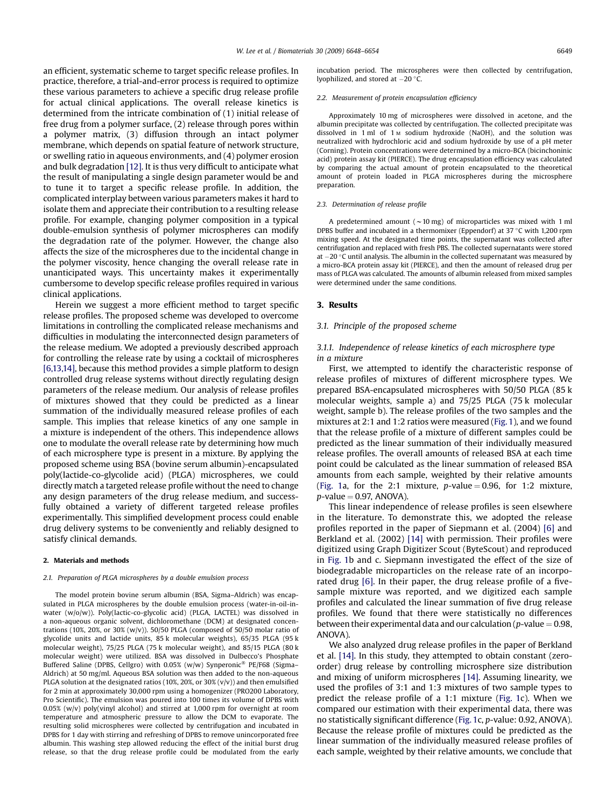an efficient, systematic scheme to target specific release profiles. In practice, therefore, a trial-and-error process is required to optimize these various parameters to achieve a specific drug release profile for actual clinical applications. The overall release kinetics is determined from the intricate combination of (1) initial release of free drug from a polymer surface, (2) release through pores within a polymer matrix, (3) diffusion through an intact polymer membrane, which depends on spatial feature of network structure, or swelling ratio in aqueous environments, and (4) polymer erosion and bulk degradation [\[12\]](#page-6-0). It is thus very difficult to anticipate what the result of manipulating a single design parameter would be and to tune it to target a specific release profile. In addition, the complicated interplay between various parameters makes it hard to isolate them and appreciate their contribution to a resulting release profile. For example, changing polymer composition in a typical double-emulsion synthesis of polymer microspheres can modify the degradation rate of the polymer. However, the change also affects the size of the microspheres due to the incidental change in the polymer viscosity, hence changing the overall release rate in unanticipated ways. This uncertainty makes it experimentally cumbersome to develop specific release profiles required in various clinical applications.

Herein we suggest a more efficient method to target specific release profiles. The proposed scheme was developed to overcome limitations in controlling the complicated release mechanisms and difficulties in modulating the interconnected design parameters of the release medium. We adopted a previously described approach for controlling the release rate by using a cocktail of microspheres [\[6,13,14\],](#page-5-0) because this method provides a simple platform to design controlled drug release systems without directly regulating design parameters of the release medium. Our analysis of release profiles of mixtures showed that they could be predicted as a linear summation of the individually measured release profiles of each sample. This implies that release kinetics of any one sample in a mixture is independent of the others. This independence allows one to modulate the overall release rate by determining how much of each microsphere type is present in a mixture. By applying the proposed scheme using BSA (bovine serum albumin)-encapsulated poly(lactide-co-glycolide acid) (PLGA) microspheres, we could directly match a targeted release profile without the need to change any design parameters of the drug release medium, and successfully obtained a variety of different targeted release profiles experimentally. This simplified development process could enable drug delivery systems to be conveniently and reliably designed to satisfy clinical demands.

#### 2. Materials and methods

#### 2.1. Preparation of PLGA microspheres by a double emulsion process

The model protein bovine serum albumin (BSA, Sigma–Aldrich) was encapsulated in PLGA microspheres by the double emulsion process (water-in-oil-inwater (w/o/w)). Poly(lactic-co-glycolic acid) (PLGA, LACTEL) was dissolved in a non-aqueous organic solvent, dichloromethane (DCM) at designated concentrations (10%, 20%, or 30%  $(w/v)$ ). 50/50 PLGA (composed of 50/50 molar ratio of glycolide units and lactide units, 85 k molecular weights), 65/35 PLGA (95 k molecular weight), 75/25 PLGA (75 k molecular weight), and 85/15 PLGA (80 k molecular weight) were utilized. BSA was dissolved in Dulbecco's Phosphate Buffered Saline (DPBS, Cellgro) with 0.05% (w/w) Synperonic<sup>®</sup> PE/F68 (Sigma-Aldrich) at 50 mg/ml. Aqueous BSA solution was then added to the non-aqueous PLGA solution at the designated ratios (10%, 20%, or 30%  $(v/v)$ ) and then emulsified for 2 min at approximately 30,000 rpm using a homogenizer (PRO200 Laboratory, Pro Scientific). The emulsion was poured into 100 times its volume of DPBS with  $0.05\%$  (w/v) poly(vinyl alcohol) and stirred at 1,000 rpm for overnight at room temperature and atmospheric pressure to allow the DCM to evaporate. The resulting solid microspheres were collected by centrifugation and incubated in DPBS for 1 day with stirring and refreshing of DPBS to remove unincorporated free albumin. This washing step allowed reducing the effect of the initial burst drug release, so that the drug release profile could be modulated from the early

incubation period. The microspheres were then collected by centrifugation, lyophilized, and stored at  $-20$  °C.

#### 2.2. Measurement of protein encapsulation efficiency

Approximately 10 mg of microspheres were dissolved in acetone, and the albumin precipitate was collected by centrifugation. The collected precipitate was dissolved in 1 ml of 1 <sup>M</sup> sodium hydroxide (NaOH), and the solution was neutralized with hydrochloric acid and sodium hydroxide by use of a pH meter (Corning). Protein concentrations were determined by a micro-BCA (bicinchoninic acid) protein assay kit (PIERCE). The drug encapsulation efficiency was calculated by comparing the actual amount of protein encapsulated to the theoretical amount of protein loaded in PLGA microspheres during the microsphere preparation.

#### 2.3. Determination of release profile

A predetermined amount ( $\sim$ 10 mg) of microparticles was mixed with 1 ml DPBS buffer and incubated in a thermomixer (Eppendorf) at 37 $\degree$ C with 1,200 rpm mixing speed. At the designated time points, the supernatant was collected after centrifugation and replaced with fresh PBS. The collected supernatants were stored at  $-20$   $\degree$ C until analysis. The albumin in the collected supernatant was measured by a micro-BCA protein assay kit (PIERCE), and then the amount of released drug per mass of PLGA was calculated. The amounts of albumin released from mixed samples were determined under the same conditions.

#### 3. Results

### 3.1. Principle of the proposed scheme

# 3.1.1. Independence of release kinetics of each microsphere type in a mixture

First, we attempted to identify the characteristic response of release profiles of mixtures of different microsphere types. We prepared BSA-encapsulated microspheres with 50/50 PLGA (85 k molecular weights, sample a) and 75/25 PLGA (75 k molecular weight, sample b). The release profiles of the two samples and the mixtures at 2:1 and 1:2 ratios were measured ([Fig. 1\)](#page-2-0), and we found that the release profile of a mixture of different samples could be predicted as the linear summation of their individually measured release profiles. The overall amounts of released BSA at each time point could be calculated as the linear summation of released BSA amounts from each sample, weighted by their relative amounts ([Fig. 1a](#page-2-0), for the 2:1 mixture,  $p$ -value = 0.96, for 1:2 mixture,  $p$ -value = 0.97, ANOVA).

This linear independence of release profiles is seen elsewhere in the literature. To demonstrate this, we adopted the release profiles reported in the paper of Siepmann et al. (2004) [\[6\]](#page-5-0) and Berkland et al. (2002) [\[14\]](#page-6-0) with permission. Their profiles were digitized using Graph Digitizer Scout (ByteScout) and reproduced in [Fig. 1](#page-2-0)b and c. Siepmann investigated the effect of the size of biodegradable microparticles on the release rate of an incorporated drug [\[6\].](#page-5-0) In their paper, the drug release profile of a fivesample mixture was reported, and we digitized each sample profiles and calculated the linear summation of five drug release profiles. We found that there were statistically no differences between their experimental data and our calculation ( $p$ -value  $= 0.98$ , ANOVA).

We also analyzed drug release profiles in the paper of Berkland et al. [\[14\]](#page-6-0). In this study, they attempted to obtain constant (zeroorder) drug release by controlling microsphere size distribution and mixing of uniform microspheres [\[14\]](#page-6-0). Assuming linearity, we used the profiles of 3:1 and 1:3 mixtures of two sample types to predict the release profile of a 1:1 mixture ([Fig. 1c](#page-2-0)). When we compared our estimation with their experimental data, there was no statistically significant difference ([Fig. 1c](#page-2-0), p-value: 0.92, ANOVA). Because the release profile of mixtures could be predicted as the linear summation of the individually measured release profiles of each sample, weighted by their relative amounts, we conclude that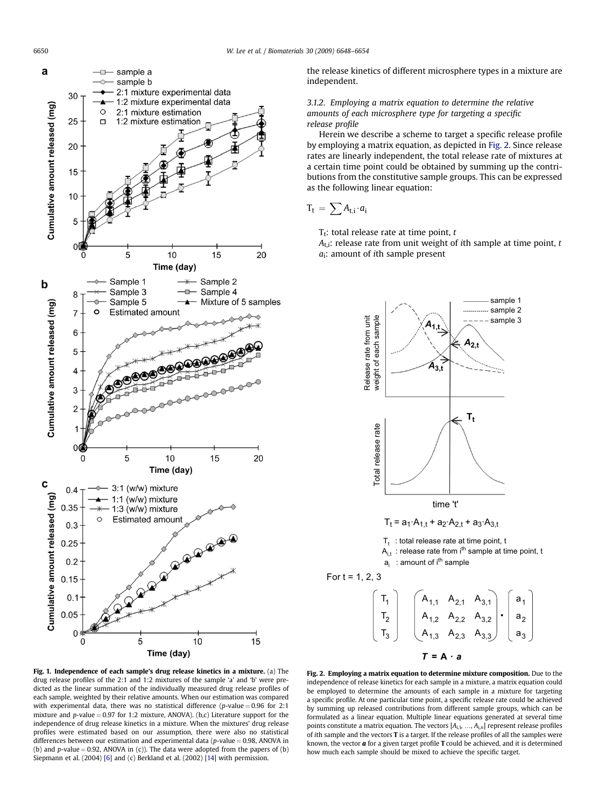<span id="page-2-0"></span>



drug release profiles of the 2:1 and 1:2 mixtures of the sample 'a' and 'b' were predicted as the linear summation of the individually measured drug release profiles of each sample, weighted by their relative amounts. When our estimation was compared with experimental data, there was no statistical difference (p-value =  $0.96$  for 2:1 mixture and  $p$ -value = 0.97 for 1:2 mixture, ANOVA). (b,c) Literature support for the independence of drug release kinetics in a mixture. When the mixtures' drug release profiles were estimated based on our assumption, there were also no statistical differences between our estimation and experimental data ( $p$ -value = 0.98, ANOVA in (b) and  $p$ -value = 0.92, ANOVA in (c)). The data were adopted from the papers of (b) Siepmann et al. (2004) [\[6\]](#page-5-0) and (c) Berkland et al. (2002) [\[14\]](#page-6-0) with permission.

Fig. 1. Independence of each sample's drug release kinetics in a mixture. (a) The

the release kinetics of different microsphere types in a mixture are independent.

3.1.2. Employing a matrix equation to determine the relative amounts of each microsphere type for targeting a specific release profile

Herein we describe a scheme to target a specific release profile by employing a matrix equation, as depicted in Fig. 2. Since release rates are linearly independent, the total release rate of mixtures at a certain time point could be obtained by summing up the contributions from the constitutive sample groups. This can be expressed as the following linear equation:

$$
T_t = \sum A_{t,i} \cdot a_i
$$

 $T_t$ : total release rate at time point, t

 $A_{t,i}$ : release rate from unit weight of ith sample at time point, t  $a_i$ : amount of *i*th sample present



$$
\begin{bmatrix} T_1 \ T_2 \ T_3 \end{bmatrix} \begin{bmatrix} A_{1,1} & A_{2,1} & A_{3,1} \\ A_{1,2} & A_{2,2} & A_{3,2} \\ A_{1,3} & A_{2,3} & A_{3,3} \end{bmatrix} \cdot \begin{bmatrix} a_1 \\ a_2 \\ a_3 \end{bmatrix}
$$

$$
T = A \cdot a
$$

Fig. 2. Employing a matrix equation to determine mixture composition. Due to the independence of release kinetics for each sample in a mixture, a matrix equation could be employed to determine the amounts of each sample in a mixture for targeting a specific profile. At one particular time point, a specific release rate could be achieved by summing up released contributions from different sample groups, which can be formulated as a linear equation. Multiple linear equations generated at several time points constitute a matrix equation. The vectors  $[A_{i,1},...,A_{i,n}]$  represent release profiles of ith sample and the vectors T is a target. If the release profiles of all the samples were known, the vector  $\boldsymbol{a}$  for a given target profile **T** could be achieved, and it is determined how much each sample should be mixed to achieve the specific target.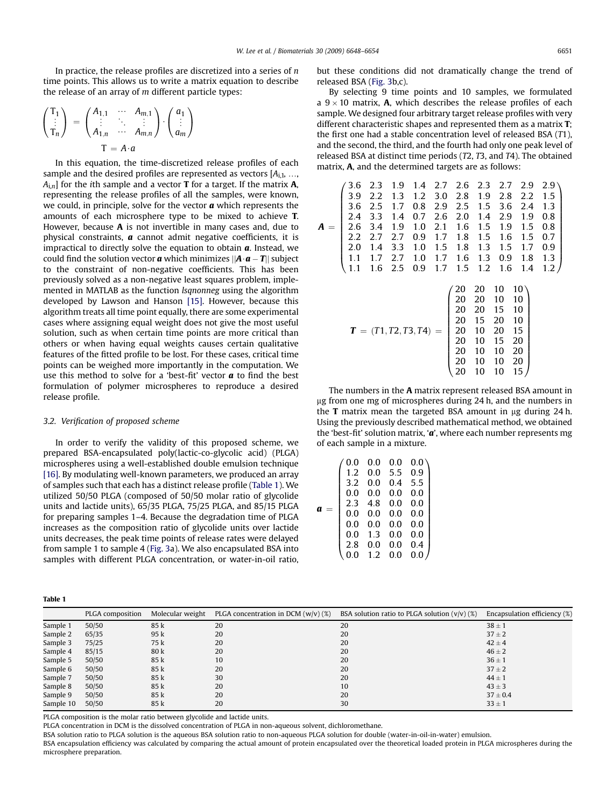In practice, the release profiles are discretized into a series of  $n$ time points. This allows us to write a matrix equation to describe the release of an array of m different particle types:

$$
\begin{pmatrix} T_1 \\ \vdots \\ T_n \end{pmatrix} \ = \ \begin{pmatrix} A_{1,1} & \cdots & A_{m,1} \\ \vdots & \ddots & \vdots \\ A_{1,n} & \cdots & A_{m,n} \end{pmatrix} \cdot \begin{pmatrix} a_1 \\ \vdots \\ a_m \end{pmatrix}
$$

$$
T = A \cdot a
$$

In this equation, the time-discretized release profiles of each sample and the desired profiles are represented as vectors  $[A_{i1}, \ldots, A_{iM}]$  $A_{1n}$  for the ith sample and a vector **T** for a target. If the matrix **A**, representing the release profiles of all the samples, were known, we could, in principle, solve for the vector  $a$  which represents the amounts of each microsphere type to be mixed to achieve T. However, because A is not invertible in many cases and, due to physical constraints,  $\boldsymbol{a}$  cannot admit negative coefficients, it is impractical to directly solve the equation to obtain  $a$ . Instead, we could find the solution vector  $\boldsymbol{a}$  which minimizes  $||\boldsymbol{A}\!\cdot\!\boldsymbol{a}-\boldsymbol{T}||$  subject to the constraint of non-negative coefficients. This has been previously solved as a non-negative least squares problem, implemented in MATLAB as the function lsqnonneg using the algorithm developed by Lawson and Hanson [\[15\].](#page-6-0) However, because this algorithm treats all time point equally, there are some experimental cases where assigning equal weight does not give the most useful solution, such as when certain time points are more critical than others or when having equal weights causes certain qualitative features of the fitted profile to be lost. For these cases, critical time points can be weighed more importantly in the computation. We use this method to solve for a 'best-fit' vector  $\boldsymbol{a}$  to find the best formulation of polymer microspheres to reproduce a desired release profile.

### 3.2. Verification of proposed scheme

In order to verify the validity of this proposed scheme, we prepared BSA-encapsulated poly(lactic-co-glycolic acid) (PLGA) microspheres using a well-established double emulsion technique [\[16\]](#page-6-0). By modulating well-known parameters, we produced an array of samples such that each has a distinct release profile (Table 1). We utilized 50/50 PLGA (composed of 50/50 molar ratio of glycolide units and lactide units), 65/35 PLGA, 75/25 PLGA, and 85/15 PLGA for preparing samples 1–4. Because the degradation time of PLGA increases as the composition ratio of glycolide units over lactide units decreases, the peak time points of release rates were delayed from sample 1 to sample 4 ([Fig. 3](#page-4-0)a). We also encapsulated BSA into samples with different PLGA concentration, or water-in-oil ratio,

|  |                           |  | but these conditions did not dramatically change the trend of |  |  |
|--|---------------------------|--|---------------------------------------------------------------|--|--|
|  | released BSA (Fig. 3b,c). |  |                                                               |  |  |

By selecting 9 time points and 10 samples, we formulated a  $9 \times 10$  matrix, **A**, which describes the release profiles of each sample. We designed four arbitrary target release profiles with very different characteristic shapes and represented them as a matrix **T**; the first one had a stable concentration level of released BSA (T1), and the second, the third, and the fourth had only one peak level of released BSA at distinct time periods (T2, T3, and T4). The obtained matrix, A, and the determined targets are as follows:

$$
A = \begin{pmatrix} 3.6 & 2.3 & 1.9 & 1.4 & 2.7 & 2.6 & 2.3 & 2.7 & 2.9 & 2.9 \\ 3.9 & 2.2 & 1.3 & 1.2 & 3.0 & 2.8 & 1.9 & 2.8 & 2.2 & 1.5 \\ 3.6 & 2.5 & 1.7 & 0.8 & 2.9 & 2.5 & 1.5 & 3.6 & 2.4 & 1.3 \\ 2.4 & 3.3 & 1.4 & 0.7 & 2.6 & 2.0 & 1.4 & 2.9 & 1.9 & 0.8 \\ 2.6 & 3.4 & 1.9 & 1.0 & 2.1 & 1.6 & 1.5 & 1.9 & 1.5 & 0.8 \\ 2.2 & 2.7 & 2.7 & 0.9 & 1.7 & 1.8 & 1.5 & 1.6 & 1.5 & 0.7 \\ 2.0 & 1.4 & 3.3 & 1.0 & 1.5 & 1.8 & 1.3 & 1.5 & 1.7 & 0.9 \\ 1.1 & 1.7 & 2.7 & 1.0 & 1.7 & 1.6 & 1.3 & 0.9 & 1.8 & 1.3 \\ 1.1 & 1.6 & 2.5 & 0.9 & 1.7 & 1.5 & 1.2 & 1.6 & 1.4 & 1.2 \end{pmatrix}
$$

$$
T = (T1, T2, T3, T4) = \begin{pmatrix} 20 & 20 & 10 & 10 \\ 20 & 20 & 10 & 10 \\ 20 & 15 & 20 & 10 \\ 20 & 10 & 20 & 15 \\ 20 & 10 & 20 & 15 \\ 20 & 10 & 10 & 20 \\ 20 & 10 & 10 & 20 \\ 20 & 10 & 10 & 20 \\ 20 & 10 & 10 & 15 \end{pmatrix}
$$

The numbers in the A matrix represent released BSA amount in ug from one mg of microspheres during 24 h, and the numbers in the  $T$  matrix mean the targeted BSA amount in  $\mu$ g during 24 h. Using the previously described mathematical method, we obtained the 'best-fit' solution matrix, ' $a$ ', where each number represents mg of each sample in a mixture.

| 0.0<br>1.2<br>3.2<br>0.0<br>2.3<br>$=$<br>0.0<br>0.0<br>0.0<br>2.8<br>0 | 0.0<br>0.0<br>0.0<br>0.0<br>4.8<br>0.0<br>0.0<br>1.3<br>0.0<br>1.2 | 0.0<br>5.5<br>0.4<br>0.0<br>0.0<br>0.0<br>0.0<br>0.0<br>0.0<br>0.0 | 0.0<br>0.9<br>5.5<br>0.0<br>0.0<br>0.0<br>0.0<br>0.0<br>0.4<br>0.0 |  |
|-------------------------------------------------------------------------|--------------------------------------------------------------------|--------------------------------------------------------------------|--------------------------------------------------------------------|--|
|-------------------------------------------------------------------------|--------------------------------------------------------------------|--------------------------------------------------------------------|--------------------------------------------------------------------|--|

| $\sim$<br>$\sim$<br>. . |  |
|-------------------------|--|
|-------------------------|--|

|           | PLGA composition |      | Molecular weight PLGA concentration in DCM $(w/v)$ (%) | BSA solution ratio to PLGA solution $(v/v)$ (%) | Encapsulation efficiency (%) |
|-----------|------------------|------|--------------------------------------------------------|-------------------------------------------------|------------------------------|
| Sample 1  | 50/50            | 85 k | 20                                                     | 20                                              | $38 \pm 1$                   |
| Sample 2  | 65/35            | 95 k | 20                                                     | 20                                              | $37 + 2$                     |
| Sample 3  | 75/25            | 75 k | 20                                                     | 20                                              | $42 \pm 4$                   |
| Sample 4  | 85/15            | 80 k | 20                                                     | 20                                              | $46\pm2$                     |
| Sample 5  | 50/50            | 85 k | 10                                                     | 20                                              | $36 \pm 1$                   |
| Sample 6  | 50/50            | 85 k | 20                                                     | 20                                              | $37 + 2$                     |
| Sample 7  | 50/50            | 85 k | 30                                                     | 20                                              | $44 \pm 1$                   |
| Sample 8  | 50/50            | 85 k | 20                                                     | 10                                              | $43 \pm 3$                   |
| Sample 9  | 50/50            | 85 k | 20                                                     | 20                                              | $37 \pm 0.4$                 |
| Sample 10 | 50/50            | 85 k | 20                                                     | 30                                              | $33 \pm 1$                   |

PLGA composition is the molar ratio between glycolide and lactide units.

PLGA concentration in DCM is the dissolved concentration of PLGA in non-aqueous solvent, dichloromethane.

BSA solution ratio to PLGA solution is the aqueous BSA solution ratio to non-aqueous PLGA solution for double (water-in-oil-in-water) emulsion.

BSA encapsulation efficiency was calculated by comparing the actual amount of protein encapsulated over the theoretical loaded protein in PLGA microspheres during the microsphere preparation.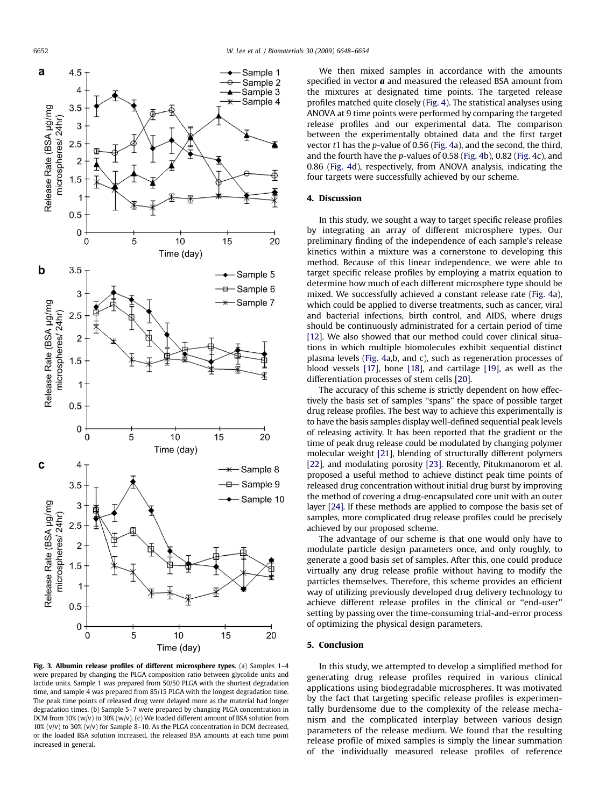<span id="page-4-0"></span>

Fig. 3. Albumin release profiles of different microsphere types. (a) Samples 1–4 were prepared by changing the PLGA composition ratio between glycolide units and lactide units. Sample 1 was prepared from 50/50 PLGA with the shortest degradation time, and sample 4 was prepared from 85/15 PLGA with the longest degradation time. The peak time points of released drug were delayed more as the material had longer degradation times. (b) Sample 5–7 were prepared by changing PLGA concentration in DCM from  $10\%$  (w/v) to 30% (w/v). (c) We loaded different amount of BSA solution from  $10\%$  (v/v) to 30% (v/v) for Sample 8–10. As the PLGA concentration in DCM decreased. or the loaded BSA solution increased, the released BSA amounts at each time point increased in general.

We then mixed samples in accordance with the amounts specified in vector  $a$  and measured the released BSA amount from the mixtures at designated time points. The targeted release profiles matched quite closely ([Fig. 4](#page-5-0)). The statistical analyses using ANOVA at 9 time points were performed by comparing the targeted release profiles and our experimental data. The comparison between the experimentally obtained data and the first target vector t1 has the p-value of 0.56 ([Fig. 4](#page-5-0)a), and the second, the third, and the fourth have the p-values of 0.58 ([Fig. 4b](#page-5-0)), 0.82 [\(Fig. 4c](#page-5-0)), and 0.86 ([Fig. 4](#page-5-0)d), respectively, from ANOVA analysis, indicating the four targets were successfully achieved by our scheme.

## 4. Discussion

In this study, we sought a way to target specific release profiles by integrating an array of different microsphere types. Our preliminary finding of the independence of each sample's release kinetics within a mixture was a cornerstone to developing this method. Because of this linear independence, we were able to target specific release profiles by employing a matrix equation to determine how much of each different microsphere type should be mixed. We successfully achieved a constant release rate ([Fig. 4a](#page-5-0)), which could be applied to diverse treatments, such as cancer, viral and bacterial infections, birth control, and AIDS, where drugs should be continuously administrated for a certain period of time [\[12\].](#page-6-0) We also showed that our method could cover clinical situations in which multiple biomolecules exhibit sequential distinct plasma levels [\(Fig. 4a](#page-5-0),b, and c), such as regeneration processes of blood vessels [\[17\]](#page-6-0), bone [\[18\],](#page-6-0) and cartilage [\[19\],](#page-6-0) as well as the differentiation processes of stem cells [\[20\]](#page-6-0).

The accuracy of this scheme is strictly dependent on how effectively the basis set of samples ''spans'' the space of possible target drug release profiles. The best way to achieve this experimentally is to have the basis samples display well-defined sequential peak levels of releasing activity. It has been reported that the gradient or the time of peak drug release could be modulated by changing polymer molecular weight [\[21\],](#page-6-0) blending of structurally different polymers [\[22\],](#page-6-0) and modulating porosity [\[23\].](#page-6-0) Recently, Pitukmanorom et al. proposed a useful method to achieve distinct peak time points of released drug concentration without initial drug burst by improving the method of covering a drug-encapsulated core unit with an outer layer [\[24\]](#page-6-0). If these methods are applied to compose the basis set of samples, more complicated drug release profiles could be precisely achieved by our proposed scheme.

The advantage of our scheme is that one would only have to modulate particle design parameters once, and only roughly, to generate a good basis set of samples. After this, one could produce virtually any drug release profile without having to modify the particles themselves. Therefore, this scheme provides an efficient way of utilizing previously developed drug delivery technology to achieve different release profiles in the clinical or ''end-user'' setting by passing over the time-consuming trial-and-error process of optimizing the physical design parameters.

## 5. Conclusion

In this study, we attempted to develop a simplified method for generating drug release profiles required in various clinical applications using biodegradable microspheres. It was motivated by the fact that targeting specific release profiles is experimentally burdensome due to the complexity of the release mechanism and the complicated interplay between various design parameters of the release medium. We found that the resulting release profile of mixed samples is simply the linear summation of the individually measured release profiles of reference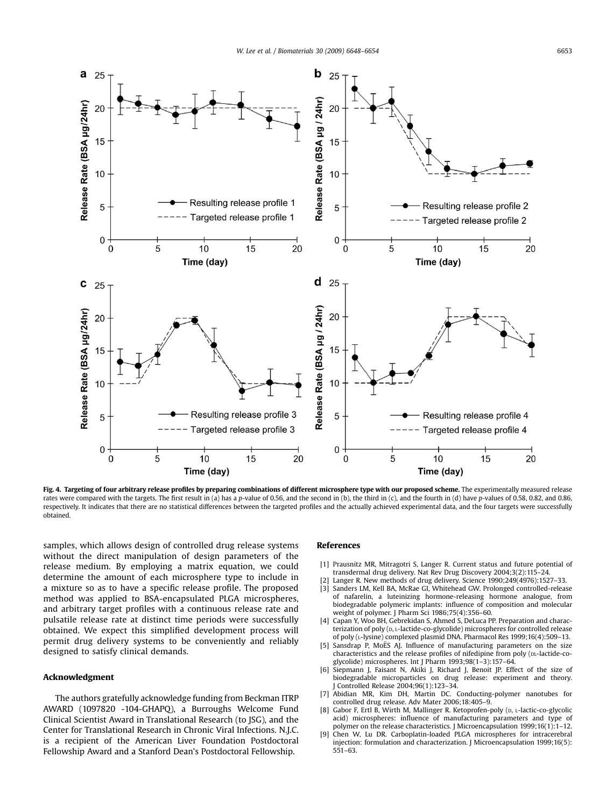<span id="page-5-0"></span>

Fig. 4. Targeting of four arbitrary release profiles by preparing combinations of different microsphere type with our proposed scheme. The experimentally measured release rates were compared with the targets. The first result in (a) has a p-value of 0.56, and the second in (b), the third in (c), and the fourth in (d) have p-values of 0.58, 0.82, and 0.86, respectively. It indicates that there are no statistical differences between the targeted profiles and the actually achieved experimental data, and the four targets were successfully obtained.

samples, which allows design of controlled drug release systems without the direct manipulation of design parameters of the release medium. By employing a matrix equation, we could determine the amount of each microsphere type to include in a mixture so as to have a specific release profile. The proposed method was applied to BSA-encapsulated PLGA microspheres, and arbitrary target profiles with a continuous release rate and pulsatile release rate at distinct time periods were successfully obtained. We expect this simplified development process will permit drug delivery systems to be conveniently and reliably designed to satisfy clinical demands.

# Acknowledgment

The authors gratefully acknowledge funding from Beckman ITRP AWARD (1097820 -104-GHAPQ), a Burroughs Welcome Fund Clinical Scientist Award in Translational Research (to JSG), and the Center for Translational Research in Chronic Viral Infections. N.J.C. is a recipient of the American Liver Foundation Postdoctoral Fellowship Award and a Stanford Dean's Postdoctoral Fellowship.

#### References

- [1] Prausnitz MR, Mitragotri S, Langer R. Current status and future potential of transdermal drug delivery. Nat Rev Drug Discovery 2004;3(2):115–24.
- Langer R. New methods of drug delivery. Science 1990;249(4976):1527-33.
- [3] Sanders LM, Kell BA, McRae GI, Whitehead GW. Prolonged controlled-release of nafarelin, a luteinizing hormone-releasing hormone analogue, from biodegradable polymeric implants: influence of composition and molecular weight of polymer. J Pharm Sci 1986;75(4):356–60.
- [4] Capan Y, Woo BH, Gebrekidan S, Ahmed S, DeLuca PP. Preparation and characterization of poly (D, L-lactide-co-glycolide) microspheres for controlled release of poly (L-lysine) complexed plasmid DNA. Pharmacol Res 1999;16(4):509–13.
- Sansdrap P, MoËS AJ. Influence of manufacturing parameters on the size characteristics and the release profiles of nifedipine from poly (DL-lactide-coglycolide) microspheres. Int J Pharm 1993;98(1–3):157–64.
- [6] Siepmann J, Faisant N, Akiki J, Richard J, Benoit JP. Effect of the size of biodegradable microparticles on drug release: experiment and theory. J Controlled Release 2004;96(1):123–34.
- Abidian MR, Kim DH, Martin DC. Conducting-polymer nanotubes for controlled drug release. Adv Mater 2006;18:405–9.
- [8] Gabor F, Ertl B, Wirth M, Mallinger R. Ketoprofen-poly (D, L-lactic-co-glycolic acid) microspheres: influence of manufacturing parameters and type of polymer on the release characteristics. J Microencapsulation 1999;16(1):1–12.
- [9] Chen W, Lu DR. Carboplatin-loaded PLGA microspheres for intracerebral injection: formulation and characterization. J Microencapsulation 1999;16(5): 551–63.